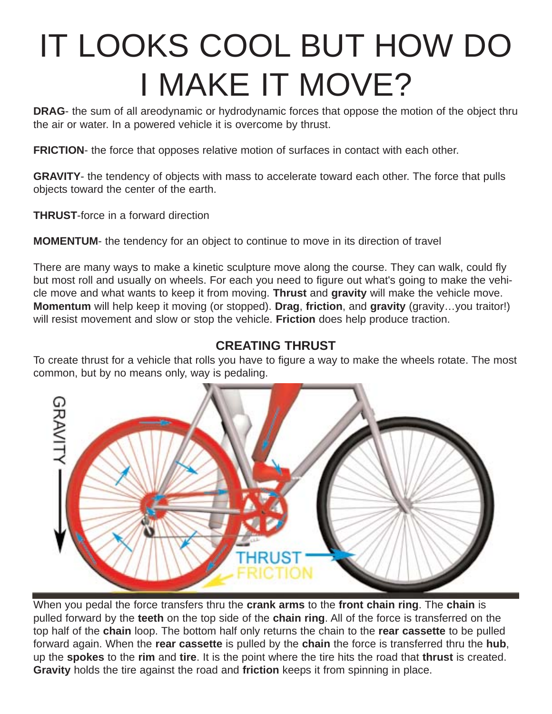# IT LOOKS COOL BUT HOW DO I MAKE IT MOVE?

**DRAG**- the sum of all areodynamic or hydrodynamic forces that oppose the motion of the object thru the air or water. In a powered vehicle it is overcome by thrust.

**FRICTION-** the force that opposes relative motion of surfaces in contact with each other.

**GRAVITY**- the tendency of objects with mass to accelerate toward each other. The force that pulls objects toward the center of the earth.

**THRUST**-force in a forward direction

**MOMENTUM**- the tendency for an object to continue to move in its direction of travel

There are many ways to make a kinetic sculpture move along the course. They can walk, could fly but most roll and usually on wheels. For each you need to figure out what's going to make the vehicle move and what wants to keep it from moving. **Thrust** and **gravity** will make the vehicle move. **Momentum** will help keep it moving (or stopped). **Drag**, **friction**, and **gravity** (gravity…you traitor!) will resist movement and slow or stop the vehicle. **Friction** does help produce traction.

### **CREATING THRUST**

To create thrust for a vehicle that rolls you have to figure a way to make the wheels rotate. The most common, but by no means only, way is pedaling.



When you pedal the force transfers thru the **crank arms** to the **front chain ring**. The **chain** is pulled forward by the **teeth** on the top side of the **chain ring**. All of the force is transferred on the top half of the **chain** loop. The bottom half only returns the chain to the **rear cassette** to be pulled forward again. When the **rear cassette** is pulled by the **chain** the force is transferred thru the **hub**, up the **spokes** to the **rim** and **tire**. It is the point where the tire hits the road that **thrust** is created. **Gravity** holds the tire against the road and **friction** keeps it from spinning in place.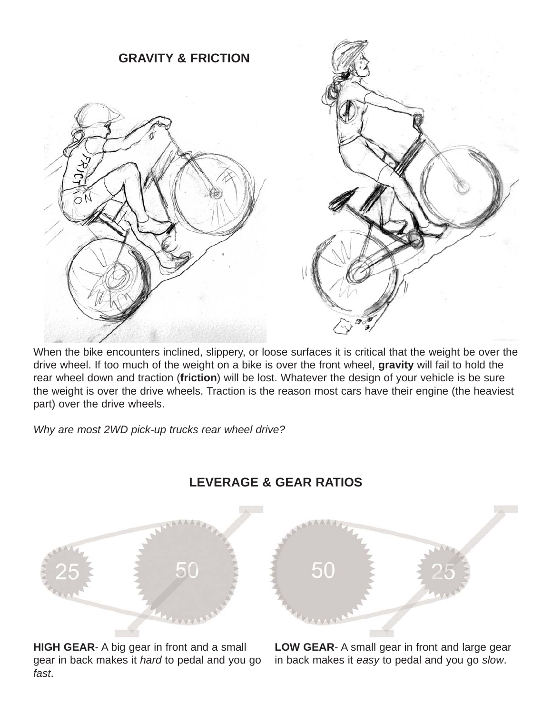

When the bike encounters inclined, slippery, or loose surfaces it is critical that the weight be over the drive wheel. If too much of the weight on a bike is over the front wheel, **gravity** will fail to hold the rear wheel down and traction (**friction**) will be lost. Whatever the design of your vehicle is be sure the weight is over the drive wheels. Traction is the reason most cars have their engine (the heaviest part) over the drive wheels.

*Why are most 2WD pick-up trucks rear wheel drive?* 



## **LEVERAGE & GEAR RATIOS**

**HIGH GEAR**- A big gear in front and a small gear in back makes it *hard* to pedal and you go *fast*.

**LOW GEAR**- A small gear in front and large gear in back makes it *easy* to pedal and you go *slow*.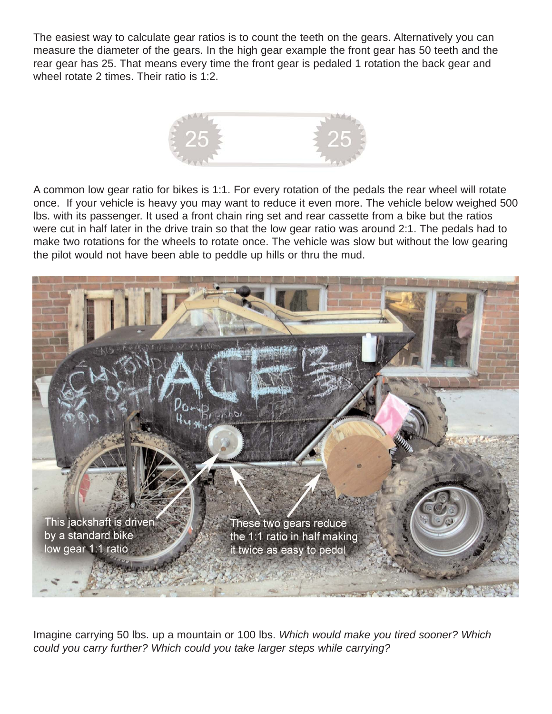The easiest way to calculate gear ratios is to count the teeth on the gears. Alternatively you can measure the diameter of the gears. In the high gear example the front gear has 50 teeth and the rear gear has 25. That means every time the front gear is pedaled 1 rotation the back gear and wheel rotate 2 times. Their ratio is 1:2.



A common low gear ratio for bikes is 1:1. For every rotation of the pedals the rear wheel will rotate once. If your vehicle is heavy you may want to reduce it even more. The vehicle below weighed 500 lbs. with its passenger. It used a front chain ring set and rear cassette from a bike but the ratios were cut in half later in the drive train so that the low gear ratio was around 2:1. The pedals had to make two rotations for the wheels to rotate once. The vehicle was slow but without the low gearing the pilot would not have been able to peddle up hills or thru the mud.



Imagine carrying 50 lbs. up a mountain or 100 lbs. *Which would make you tired sooner? Which could you carry further? Which could you take larger steps while carrying?*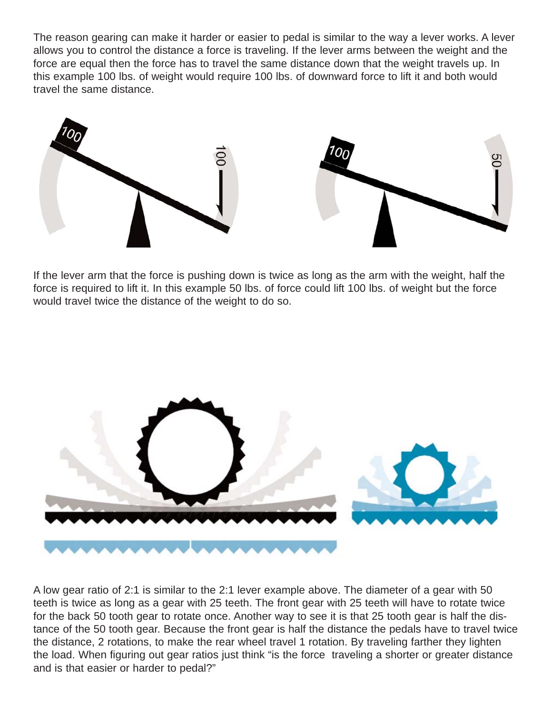The reason gearing can make it harder or easier to pedal is similar to the way a lever works. A lever allows you to control the distance a force is traveling. If the lever arms between the weight and the force are equal then the force has to travel the same distance down that the weight travels up. In this example 100 lbs. of weight would require 100 lbs. of downward force to lift it and both would travel the same distance.





If the lever arm that the force is pushing down is twice as long as the arm with the weight, half the force is required to lift it. In this example 50 lbs. of force could lift 100 lbs. of weight but the force would travel twice the distance of the weight to do so.



A low gear ratio of 2:1 is similar to the 2:1 lever example above. The diameter of a gear with 50 teeth is twice as long as a gear with 25 teeth. The front gear with 25 teeth will have to rotate twice for the back 50 tooth gear to rotate once. Another way to see it is that 25 tooth gear is half the distance of the 50 tooth gear. Because the front gear is half the distance the pedals have to travel twice the distance, 2 rotations, to make the rear wheel travel 1 rotation. By traveling farther they lighten the load. When figuring out gear ratios just think "is the force traveling a shorter or greater distance and is that easier or harder to pedal?"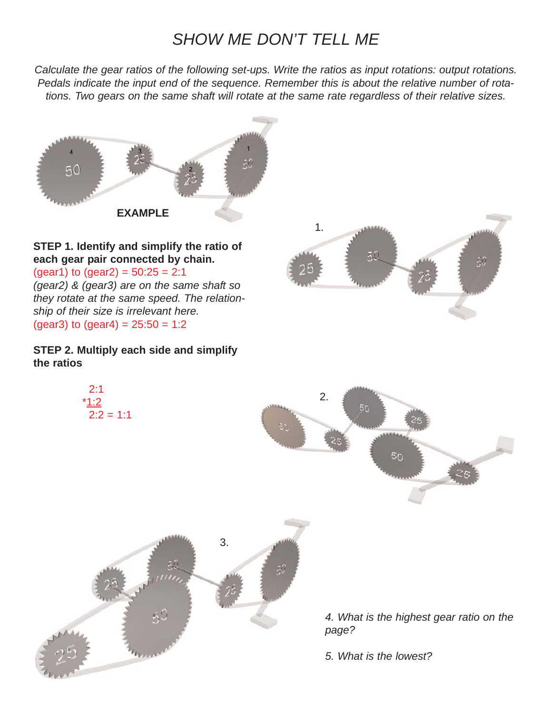## *SHOW ME DON'T TELL ME*

*Calculate the gear ratios of the following set-ups. Write the ratios as input rotations: output rotations. Pedals indicate the input end of the sequence. Remember this is about the relative number of rotations. Two gears on the same shaft will rotate at the same rate regardless of their relative sizes.*



#### **STEP 1. Identify and simplify the ratio of each gear pair connected by chain.**

 $(gear1)$  to  $(gear2) = 50:25 = 2:1$ *(gear2) & (gear3) are on the same shaft so they rotate at the same speed. The relationship of their size is irrelevant here.* (gear3) to (gear4) =  $25:50 = 1:2$ 

#### **STEP 2. Multiply each side and simplify the ratios**

 $2.1$ \*1:2

 $2:2 = 1:1$ 







*4. What is the highest gear ratio on the page?*

*5. What is the lowest?*